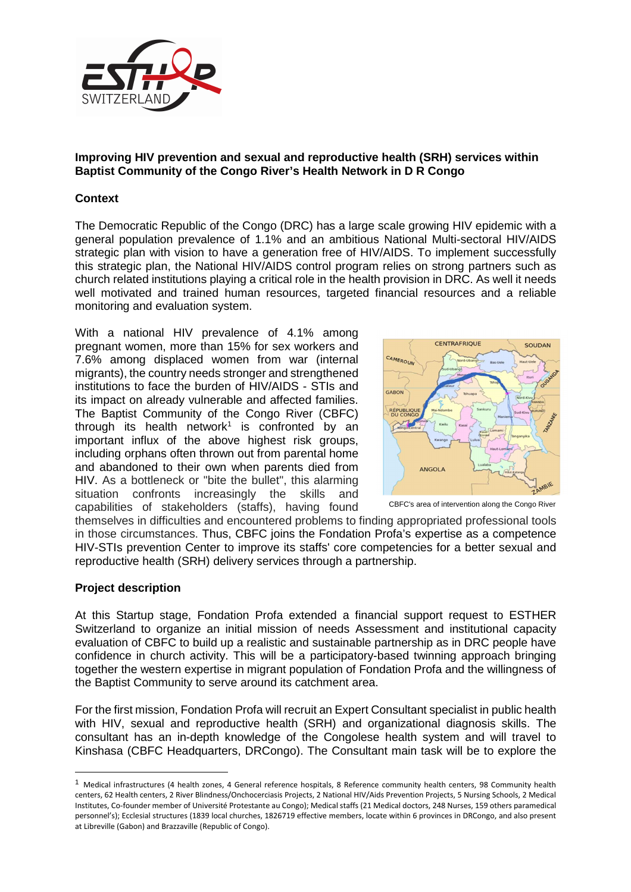

# **Improving HIV prevention and sexual and reproductive health (SRH) services within Baptist Community of the Congo River's Health Network in D R Congo**

# **Context**

The Democratic Republic of the Congo (DRC) has a large scale growing HIV epidemic with a general population prevalence of 1.1% and an ambitious National Multi-sectoral HIV/AIDS strategic plan with vision to have a generation free of HIV/AIDS. To implement successfully this strategic plan, the National HIV/AIDS control program relies on strong partners such as church related institutions playing a critical role in the health provision in DRC. As well it needs well motivated and trained human resources, targeted financial resources and a reliable monitoring and evaluation system.

With a national HIV prevalence of 4.1% among pregnant women, more than 15% for sex workers and 7.6% among displaced women from war (internal migrants), the country needs stronger and strengthened institutions to face the burden of HIV/AIDS - STIs and its impact on already vulnerable and affected families. The Baptist Community of the Congo River (CBFC) through its health network<sup>1</sup> is confronted by an important influx of the above highest risk groups, including orphans often thrown out from parental home and abandoned to their own when parents died from HIV. As a bottleneck or "bite the bullet", this alarming situation confronts increasingly the skills and capabilities of stakeholders (staffs), having found



CBFC's area of intervention along the Congo River

themselves in difficulties and encountered problems to finding appropriated professional tools in those circumstances. Thus, CBFC joins the Fondation Profa's expertise as a competence HIV-STIs prevention Center to improve its staffs' core competencies for a better sexual and reproductive health (SRH) delivery services through a partnership.

### **Project description**

 $\overline{a}$ 

At this Startup stage, Fondation Profa extended a financial support request to ESTHER Switzerland to organize an initial mission of needs Assessment and institutional capacity evaluation of CBFC to build up a realistic and sustainable partnership as in DRC people have confidence in church activity. This will be a participatory-based twinning approach bringing together the western expertise in migrant population of Fondation Profa and the willingness of the Baptist Community to serve around its catchment area.

For the first mission, Fondation Profa will recruit an Expert Consultant specialist in public health with HIV, sexual and reproductive health (SRH) and organizational diagnosis skills. The consultant has an in-depth knowledge of the Congolese health system and will travel to Kinshasa (CBFC Headquarters, DRCongo). The Consultant main task will be to explore the

 $1$  Medical infrastructures (4 health zones, 4 General reference hospitals, 8 Reference community health centers, 98 Community health centers, 62 Health centers, 2 River Blindness/Onchocerciasis Projects, 2 National HIV/Aids Prevention Projects, 5 Nursing Schools, 2 Medical Institutes, Co-founder member of Université Protestante au Congo); Medical staffs (21 Medical doctors, 248 Nurses, 159 others paramedical personnel's); Ecclesial structures (1839 local churches, 1826719 effective members, locate within 6 provinces in DRCongo, and also present at Libreville (Gabon) and Brazzaville (Republic of Congo).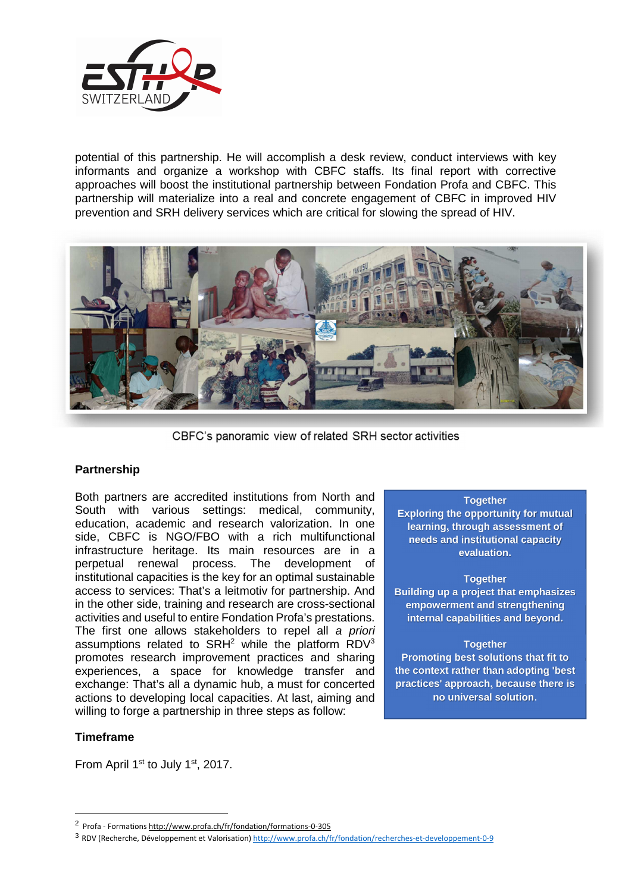

potential of this partnership. He will accomplish a desk review, conduct interviews with key informants and organize a workshop with CBFC staffs. Its final report with corrective approaches will boost the institutional partnership between Fondation Profa and CBFC. This partnership will materialize into a real and concrete engagement of CBFC in improved HIV prevention and SRH delivery services which are critical for slowing the spread of HIV.



CBFC's panoramic view of related SRH sector activities

# **Partnership**

Both partners are accredited institutions from North and South with various settings: medical, community, education, academic and research valorization. In one side, CBFC is NGO/FBO with a rich multifunctional infrastructure heritage. Its main resources are in a perpetual renewal process. The development of institutional capacities is the key for an optimal sustainable access to services: That's a leitmotiv for partnership. And in the other side, training and research are cross-sectional activities and useful to entire Fondation Profa's prestations. The first one allows stakeholders to repel all a priori assumptions related to SRH<sup>2</sup> while the platform RDV<sup>3</sup> promotes research improvement practices and sharing experiences, a space for knowledge transfer and exchange: That's all a dynamic hub, a must for concerted actions to developing local capacities. At last, aiming and willing to forge a partnership in three steps as follow:

### **Timeframe**

 $\overline{a}$ 

From April 1<sup>st</sup> to July 1<sup>st</sup>, 2017.

#### **Together**

**Exploring the opportunity for mutual learning, through assessment of needs and institutional capacity evaluation.** 

#### **Together**

**Building up a project that emphasizes empowerment and strengthening internal capabilities and beyond.** 

### **Together**

**Promoting best solutions that fit to the context rather than adopting 'best practices' approach, because there is no universal solution**.

<sup>&</sup>lt;sup>2</sup> Profa - Formations http://www.profa.ch/fr/fondation/formations-0-305

<sup>3</sup> RDV (Recherche, Développement et Valorisation) http://www.profa.ch/fr/fondation/recherches-et-developpement-0-9